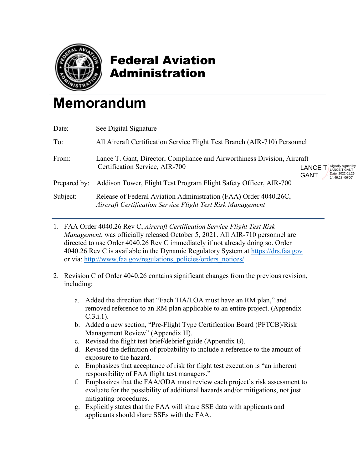

## Federal Aviation Administration

## **Memorandum**

| See Digital Signature                                                                                                          |                                                                                                 |  |
|--------------------------------------------------------------------------------------------------------------------------------|-------------------------------------------------------------------------------------------------|--|
| All Aircraft Certification Service Flight Test Branch (AIR-710) Personnel                                                      |                                                                                                 |  |
| Lance T. Gant, Director, Compliance and Airworthiness Division, Aircraft<br>Certification Service, AIR-700                     | Digitally signed by<br><b>LANCE T</b><br><b>LANCE T GANT</b><br>Date: 2022.01.26<br><b>GANT</b> |  |
| Addison Tower, Flight Test Program Flight Safety Officer, AIR-700                                                              | 14:49:28 -06'00'                                                                                |  |
| Release of Federal Aviation Administration (FAA) Order 4040.26C,<br>Aircraft Certification Service Flight Test Risk Management |                                                                                                 |  |
|                                                                                                                                |                                                                                                 |  |

- 1. FAA Order 4040.26 Rev C, *Aircraft Certification Service Flight Test Risk Management*, was officially released October 5, 2021. All AIR-710 personnel are directed to use Order 4040.26 Rev C immediately if not already doing so. Order 4040.26 Rev C is available in the Dynamic Regulatory System at [https://drs.faa.gov](https://drs.faa.gov/) or via: [http://www.faa.gov/regulations\\_policies/orders\\_notices/](http://www.faa.gov/regulations_policies/orders_notices/)
- 2. Revision C of Order 4040.26 contains significant changes from the previous revision, including:
	- a. Added the direction that "Each TIA/LOA must have an RM plan," and removed reference to an RM plan applicable to an entire project. (Appendix C.3.i.1).
	- b. Added a new section, "Pre-Flight Type Certification Board (PFTCB)/Risk Management Review" (Appendix H).
	- c. Revised the flight test brief/debrief guide (Appendix B).
	- d. Revised the definition of probability to include a reference to the amount of exposure to the hazard.
	- e. Emphasizes that acceptance of risk for flight test execution is "an inherent responsibility of FAA flight test managers."
	- f. Emphasizes that the FAA/ODA must review each project's risk assessment to evaluate for the possibility of additional hazards and/or mitigations, not just mitigating procedures.
	- g. Explicitly states that the FAA will share SSE data with applicants and applicants should share SSEs with the FAA.